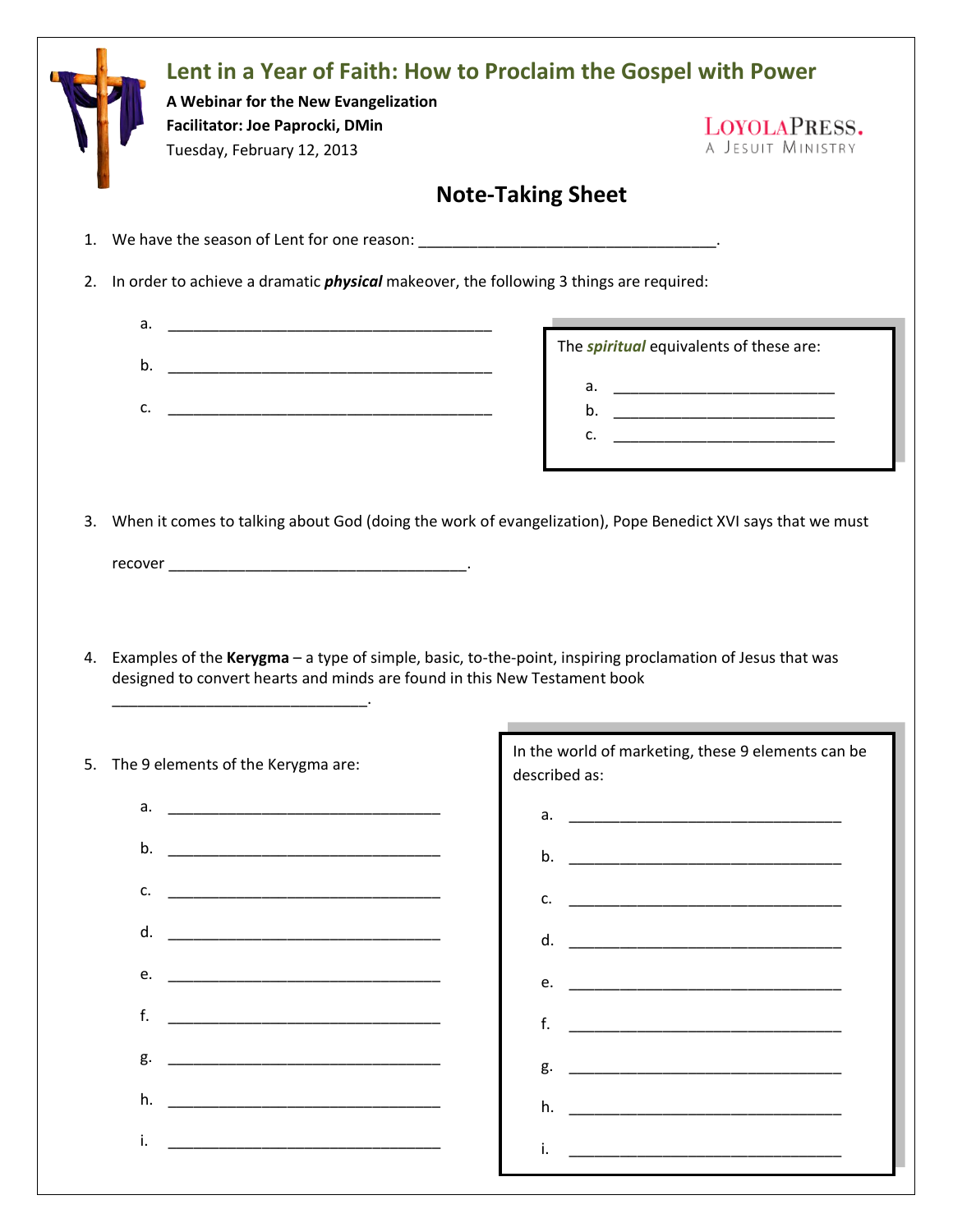| A Webinar for the New Evangelization<br>Facilitator: Joe Paprocki, DMin<br>Tuesday, February 12, 2013 | LOYOLAPRESS.<br>A JESUIT MINISTRY                                                                                                                                                                                       |
|-------------------------------------------------------------------------------------------------------|-------------------------------------------------------------------------------------------------------------------------------------------------------------------------------------------------------------------------|
|                                                                                                       | <b>Note-Taking Sheet</b>                                                                                                                                                                                                |
| 1.                                                                                                    |                                                                                                                                                                                                                         |
| 2.<br>In order to achieve a dramatic <i>physical</i> makeover, the following 3 things are required:   |                                                                                                                                                                                                                         |
| а.                                                                                                    |                                                                                                                                                                                                                         |
| b.                                                                                                    | The <i>spiritual</i> equivalents of these are:                                                                                                                                                                          |
| c.                                                                                                    |                                                                                                                                                                                                                         |
|                                                                                                       |                                                                                                                                                                                                                         |
|                                                                                                       |                                                                                                                                                                                                                         |
| designed to convert hearts and minds are found in this New Testament book                             | When it comes to talking about God (doing the work of evangelization), Pope Benedict XVI says that we must<br>Examples of the Kerygma - a type of simple, basic, to-the-point, inspiring proclamation of Jesus that was |
|                                                                                                       | In the world of marketing, these 9 elements can be                                                                                                                                                                      |
| The 9 elements of the Kerygma are:                                                                    | described as:                                                                                                                                                                                                           |
| a.                                                                                                    |                                                                                                                                                                                                                         |
| b.                                                                                                    |                                                                                                                                                                                                                         |
| c.                                                                                                    | c.                                                                                                                                                                                                                      |
| d.                                                                                                    | d.                                                                                                                                                                                                                      |
| e.                                                                                                    | e.                                                                                                                                                                                                                      |
| f.                                                                                                    | f.                                                                                                                                                                                                                      |
| g.                                                                                                    |                                                                                                                                                                                                                         |
| 4.<br>5.<br>h.                                                                                        | h.                                                                                                                                                                                                                      |